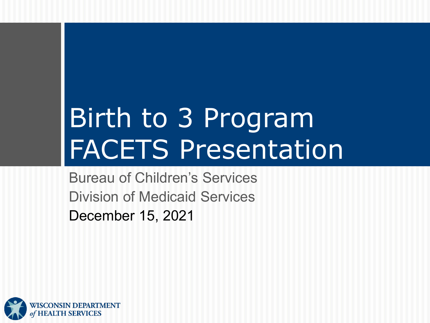# Birth to 3 Program FACETS Presentation

Bureau of Children's Services Division of Medicaid Services December 15, 2021

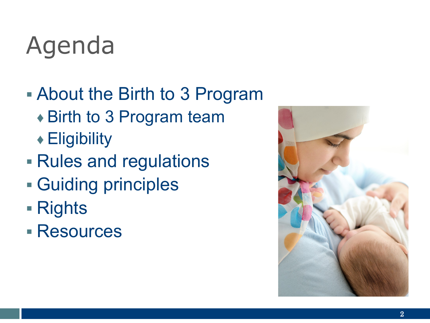#### Agenda

- About the Birth to 3 Program
	- ◆ Birth to 3 Program team
	- ♦ Eligibility
- Rules and regulations
- Guiding principles
- Rights
- Resources

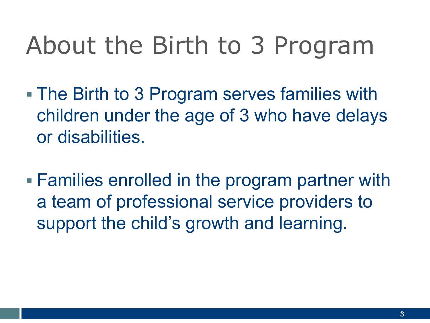- The Birth to 3 Program serves families with children under the age of 3 who have delays or disabilities.
- Families enrolled in the program partner with a team of professional service providers to support the child's growth and learning.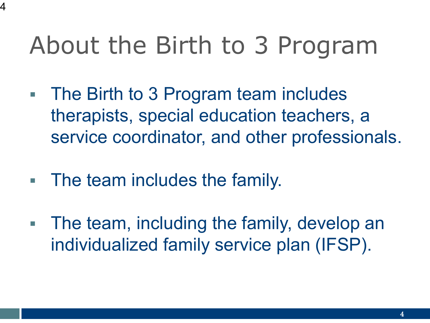- The Birth to 3 Program team includes therapists, special education teachers, a service coordinator, and other professionals.
- **The team includes the family.**

4

 The team, including the family, develop an individualized family service plan (IFSP).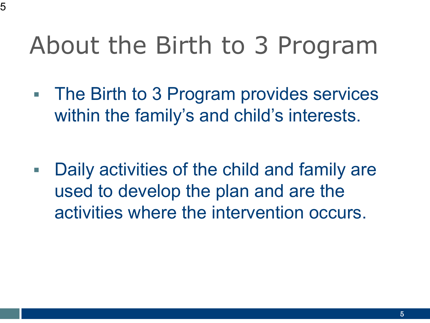• The Birth to 3 Program provides services within the family's and child's interests.

 Daily activities of the child and family are used to develop the plan and are the activities where the intervention occurs.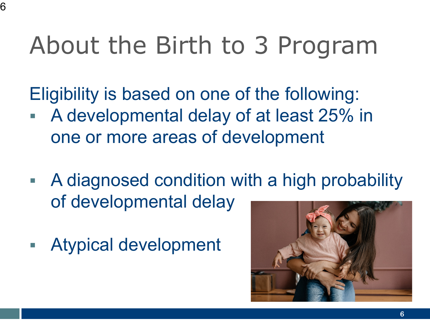Eligibility is based on one of the following:

- A developmental delay of at least 25% in one or more areas of development
- A diagnosed condition with a high probability of developmental delay
- Atypical development

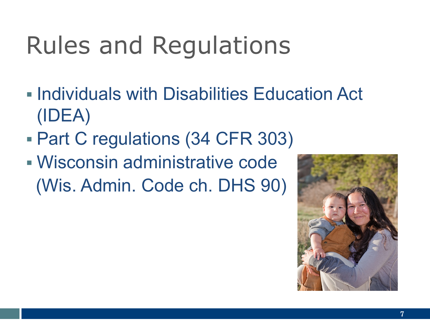# Rules and Regulations

- **Individuals with Disabilities Education Act** (IDEA)
- Part C regulations (34 CFR 303)
- Wisconsin administrative code (Wis. Admin. Code ch. DHS 90)

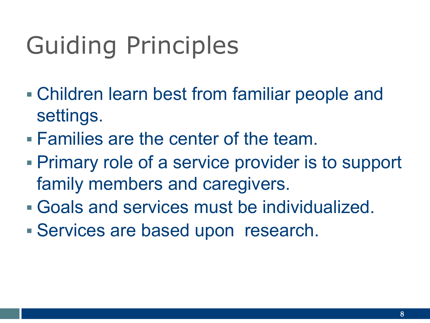# Guiding Principles

- Children learn best from familiar people and settings.
- Families are the center of the team.
- Primary role of a service provider is to support family members and caregivers.
- Goals and services must be individualized.
- Services are based upon research.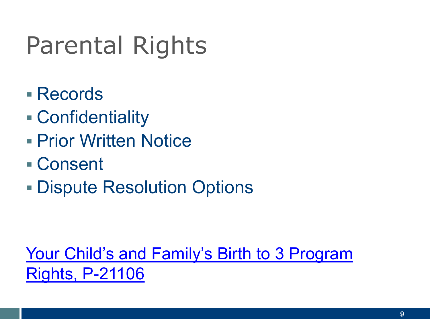# Parental Rights

- Records
- Confidentiality
- **Prior Written Notice**
- Consent
- Dispute Resolution Options

[Your Child's and Family's Birth to 3 Program](https://www.dhs.wisconsin.gov/library/p-21106.htm) Rights, P-21106